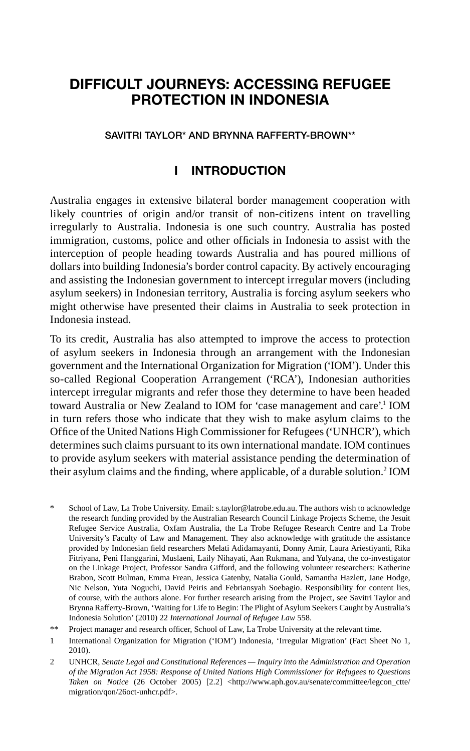# **DIFFICULT JOURNEYS: ACCESSING REFUGEE PROTECTION IN INDONESIA**

#### **SAVITRI TAYLOR\* AND BRYNNA RAFFERTY-BROWN\*\***

# **I INTRODUCTION**

Australia engages in extensive bilateral border management cooperation with likely countries of origin and/or transit of non-citizens intent on travelling irregularly to Australia. Indonesia is one such country. Australia has posted immigration, customs, police and other officials in Indonesia to assist with the interception of people heading towards Australia and has poured millions of dollars into building Indonesia's border control capacity. By actively encouraging and assisting the Indonesian government to intercept irregular movers (including asylum seekers) in Indonesian territory, Australia is forcing asylum seekers who might otherwise have presented their claims in Australia to seek protection in Indonesia instead.

To its credit, Australia has also attempted to improve the access to protection of asylum seekers in Indonesia through an arrangement with the Indonesian government and the International Organization for Migration ('IOM'). Under this so-called Regional Cooperation Arrangement ('RCA'), Indonesian authorities intercept irregular migrants and refer those they determine to have been headed toward Australia or New Zealand to IOM for 'case management and care'.<sup>1</sup> IOM in turn refers those who indicate that they wish to make asylum claims to the Office of the United Nations High Commissioner for Refugees ('UNHCR'), which determines such claims pursuant to its own international mandate. IOM continues to provide asylum seekers with material assistance pending the determination of their asylum claims and the finding, where applicable, of a durable solution.<sup>2</sup> IOM

- \* School of Law, La Trobe University. Email: s.taylor@latrobe.edu.au. The authors wish to acknowledge the research funding provided by the Australian Research Council Linkage Projects Scheme, the Jesuit Refugee Service Australia, Oxfam Australia, the La Trobe Refugee Research Centre and La Trobe University's Faculty of Law and Management. They also acknowledge with gratitude the assistance provided by Indonesian field researchers Melati Adidamayanti, Donny Amir, Laura Ariestiyanti, Rika Fitriyana, Peni Hanggarini, Muslaeni, Laily Nihayati, Aan Rukmana, and Yulyana, the co-investigator on the Linkage Project, Professor Sandra Gifford, and the following volunteer researchers: Katherine Brabon, Scott Bulman, Emma Frean, Jessica Gatenby, Natalia Gould, Samantha Hazlett, Jane Hodge, Nic Nelson, Yuta Noguchi, David Peiris and Febriansyah Soebagio. Responsibility for content lies, of course, with the authors alone. For further research arising from the Project, see Savitri Taylor and Brynna Rafferty-Brown, 'Waiting for Life to Begin: The Plight of Asylum Seekers Caught by Australia's Indonesia Solution' (2010) 22 *International Journal of Refugee Law* 558.
- \*\* Project manager and research officer, School of Law, La Trobe University at the relevant time.
- 1 International Organization for Migration ('IOM') Indonesia, 'Irregular Migration' (Fact Sheet No 1, 2010).
- 2 UNHCR, *Senate Legal and Constitutional References Inquiry into the Administration and Operation of the Migration Act 1958: Response of United Nations High Commissioner for Refugees to Questions Taken on Notice* (26 October 2005) [2.2] <http://www.aph.gov.au/senate/committee/legcon\_ctte/ migration/qon/26oct-unhcr.pdf>.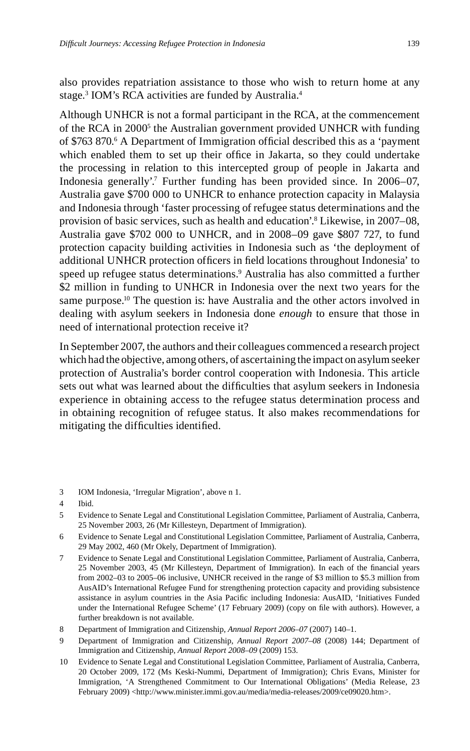also provides repatriation assistance to those who wish to return home at any stage.<sup>3</sup> IOM's RCA activities are funded by Australia.<sup>4</sup>

Although UNHCR is not a formal participant in the RCA, at the commencement of the RCA in 2000<sup>5</sup> the Australian government provided UNHCR with funding of \$763 870.<sup>6</sup> A Department of Immigration official described this as a 'payment which enabled them to set up their office in Jakarta, so they could undertake the processing in relation to this intercepted group of people in Jakarta and Indonesia generally'.7 Further funding has been provided since. In 2006–07, Australia gave \$700 000 to UNHCR to enhance protection capacity in Malaysia and Indonesia through 'faster processing of refugee status determinations and the provision of basic services, such as health and education'.8 Likewise, in 2007–08, Australia gave \$702 000 to UNHCR, and in 2008–09 gave \$807 727, to fund protection capacity building activities in Indonesia such as 'the deployment of additional UNHCR protection officers in field locations throughout Indonesia' to speed up refugee status determinations.9 Australia has also committed a further \$2 million in funding to UNHCR in Indonesia over the next two years for the same purpose.<sup>10</sup> The question is: have Australia and the other actors involved in dealing with asylum seekers in Indonesia done *enough* to ensure that those in need of international protection receive it?

In September 2007, the authors and their colleagues commenced a research project which had the objective, among others, of ascertaining the impact on asylum seeker protection of Australia's border control cooperation with Indonesia. This article sets out what was learned about the difficulties that asylum seekers in Indonesia experience in obtaining access to the refugee status determination process and in obtaining recognition of refugee status. It also makes recommendations for mitigating the difficulties identified.

<sup>3</sup> IOM Indonesia, 'Irregular Migration', above n 1.

<sup>4</sup> Ibid.

<sup>5</sup> Evidence to Senate Legal and Constitutional Legislation Committee, Parliament of Australia, Canberra, 25 November 2003, 26 (Mr Killesteyn, Department of Immigration).

<sup>6</sup> Evidence to Senate Legal and Constitutional Legislation Committee, Parliament of Australia, Canberra, 29 May 2002, 460 (Mr Okely, Department of Immigration).

<sup>7</sup> Evidence to Senate Legal and Constitutional Legislation Committee, Parliament of Australia, Canberra, 25 November 2003, 45 (Mr Killesteyn, Department of Immigration). In each of the financial years from 2002–03 to 2005–06 inclusive, UNHCR received in the range of \$3 million to \$5.3 million from AusAID's International Refugee Fund for strengthening protection capacity and providing subsistence assistance in asylum countries in the Asia Pacific including Indonesia: AusAID, 'Initiatives Funded under the International Refugee Scheme' (17 February 2009) (copy on file with authors). However, a further breakdown is not available.

<sup>8</sup> Department of Immigration and Citizenship, *Annual Report 2006–07* (2007) 140–1.

<sup>9</sup> Department of Immigration and Citizenship, *Annual Report 2007–08* (2008) 144; Department of Immigration and Citizenship, *Annual Report 2008–09* (2009) 153.

<sup>10</sup> Evidence to Senate Legal and Constitutional Legislation Committee, Parliament of Australia, Canberra*,* 20 October 2009, 172 (Ms Keski-Nummi, Department of Immigration); Chris Evans, Minister for Immigration, 'A Strengthened Commitment to Our International Obligations' (Media Release, 23 February 2009) <http://www.minister.immi.gov.au/media/media-releases/2009/ce09020.htm>.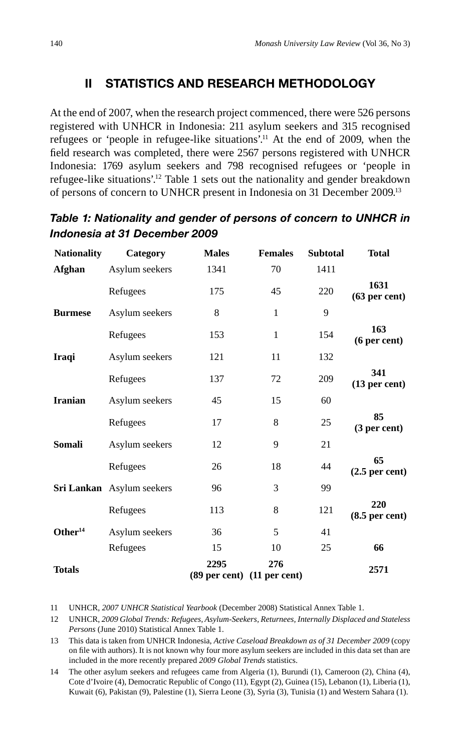# **II STATISTICS AND RESEARCH METHODOLOGY**

At the end of 2007, when the research project commenced, there were 526 persons registered with UNHCR in Indonesia: 211 asylum seekers and 315 recognised refugees or 'people in refugee-like situations'.11 At the end of 2009, when the field research was completed, there were 2567 persons registered with UNHCR Indonesia: 1769 asylum seekers and 798 recognised refugees or 'people in refugee-like situations'.12 Table 1 sets out the nationality and gender breakdown of persons of concern to UNHCR present in Indonesia on 31 December 2009.13

| <b>Nationality</b>  | Category                  | <b>Males</b> | <b>Females</b>                     | <b>Subtotal</b> | <b>Total</b>            |
|---------------------|---------------------------|--------------|------------------------------------|-----------------|-------------------------|
| Afghan              | Asylum seekers            | 1341         | 70                                 | 1411            |                         |
|                     | Refugees                  | 175          | 45                                 | 220             | 1631<br>$(63$ per cent) |
| <b>Burmese</b>      | Asylum seekers            | 8            | 1                                  | 9               |                         |
|                     | Refugees                  | 153          | $\mathbf{1}$                       | 154             | 163<br>(6 per cent)     |
| <b>Iraqi</b>        | Asylum seekers            | 121          | 11                                 | 132             |                         |
|                     | Refugees                  | 137          | 72                                 | 209             | 341<br>$(13$ per cent)  |
| <b>Iranian</b>      | Asylum seekers            | 45           | 15                                 | 60              |                         |
|                     | Refugees                  | 17           | 8                                  | 25              | 85<br>(3 per cent)      |
| Somali              | Asylum seekers            | 12           | 9                                  | 21              |                         |
|                     | Refugees                  | 26           | 18                                 | 44              | 65<br>$(2.5$ per cent)  |
|                     | Sri Lankan Asylum seekers | 96           | 3                                  | 99              |                         |
|                     | Refugees                  | 113          | 8                                  | 121             | 220<br>$(8.5$ per cent) |
| Other <sup>14</sup> | Asylum seekers            | 36           | 5                                  | 41              |                         |
|                     | Refugees                  | 15           | 10                                 | 25              | 66                      |
| <b>Totals</b>       |                           | 2295         | 276<br>(89 per cent) (11 per cent) |                 | 2571                    |

# *Table 1: Nationality and gender of persons of concern to UNHCR in Indonesia at 31 December 2009*

11 UNHCR, *2007 UNHCR Statistical Yearbook* (December 2008) Statistical Annex Table 1.

<sup>12</sup> UNHCR, *2009 Global Trends: Refugees, Asylum-Seekers, Returnees, Internally Displaced and Stateless Persons* (June 2010) Statistical Annex Table 1.

<sup>13</sup> This data is taken from UNHCR Indonesia, *Active Caseload Breakdown as of 31 December 2009* (copy on file with authors). It is not known why four more asylum seekers are included in this data set than are included in the more recently prepared *2009 Global Trends* statistics.

<sup>14</sup> The other asylum seekers and refugees came from Algeria (1), Burundi (1), Cameroon (2), China (4), Cote d'Ivoire (4), Democratic Republic of Congo (11), Egypt (2), Guinea (15), Lebanon (1), Liberia (1), Kuwait (6), Pakistan (9), Palestine (1), Sierra Leone (3), Syria (3), Tunisia (1) and Western Sahara (1).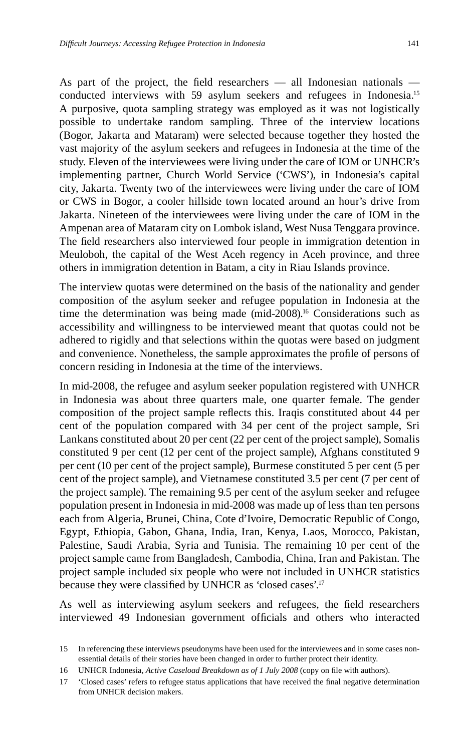As part of the project, the field researchers  $-$  all Indonesian nationals  $$ conducted interviews with 59 asylum seekers and refugees in Indonesia.15 A purposive, quota sampling strategy was employed as it was not logistically possible to undertake random sampling. Three of the interview locations (Bogor, Jakarta and Mataram) were selected because together they hosted the vast majority of the asylum seekers and refugees in Indonesia at the time of the study. Eleven of the interviewees were living under the care of IOM or UNHCR's implementing partner, Church World Service ('CWS'), in Indonesia's capital city, Jakarta. Twenty two of the interviewees were living under the care of IOM or CWS in Bogor, a cooler hillside town located around an hour's drive from Jakarta. Nineteen of the interviewees were living under the care of IOM in the Ampenan area of Mataram city on Lombok island, West Nusa Tenggara province. The field researchers also interviewed four people in immigration detention in Meuloboh, the capital of the West Aceh regency in Aceh province, and three others in immigration detention in Batam, a city in Riau Islands province.

The interview quotas were determined on the basis of the nationality and gender composition of the asylum seeker and refugee population in Indonesia at the time the determination was being made (mid-2008).<sup>16</sup> Considerations such as accessibility and willingness to be interviewed meant that quotas could not be adhered to rigidly and that selections within the quotas were based on judgment and convenience. Nonetheless, the sample approximates the profile of persons of concern residing in Indonesia at the time of the interviews.

In mid-2008, the refugee and asylum seeker population registered with UNHCR in Indonesia was about three quarters male, one quarter female. The gender composition of the project sample reflects this. Iraqis constituted about 44 per cent of the population compared with 34 per cent of the project sample, Sri Lankans constituted about 20 per cent (22 per cent of the project sample), Somalis constituted 9 per cent (12 per cent of the project sample), Afghans constituted 9 per cent (10 per cent of the project sample), Burmese constituted 5 per cent (5 per cent of the project sample), and Vietnamese constituted 3.5 per cent (7 per cent of the project sample). The remaining 9.5 per cent of the asylum seeker and refugee population present in Indonesia in mid-2008 was made up of less than ten persons each from Algeria, Brunei, China, Cote d'Ivoire, Democratic Republic of Congo, Egypt, Ethiopia, Gabon, Ghana, India, Iran, Kenya, Laos, Morocco, Pakistan, Palestine, Saudi Arabia, Syria and Tunisia. The remaining 10 per cent of the project sample came from Bangladesh, Cambodia, China, Iran and Pakistan. The project sample included six people who were not included in UNHCR statistics because they were classified by UNHCR as 'closed cases'.<sup>17</sup>

As well as interviewing asylum seekers and refugees, the field researchers interviewed 49 Indonesian government officials and others who interacted

<sup>15</sup> In referencing these interviews pseudonyms have been used for the interviewees and in some cases nonessential details of their stories have been changed in order to further protect their identity.

<sup>16</sup> UNHCR Indonesia, *Active Caseload Breakdown as of 1 July 2008* (copy on file with authors).

<sup>17 &#</sup>x27;Closed cases' refers to refugee status applications that have received the final negative determination from UNHCR decision makers.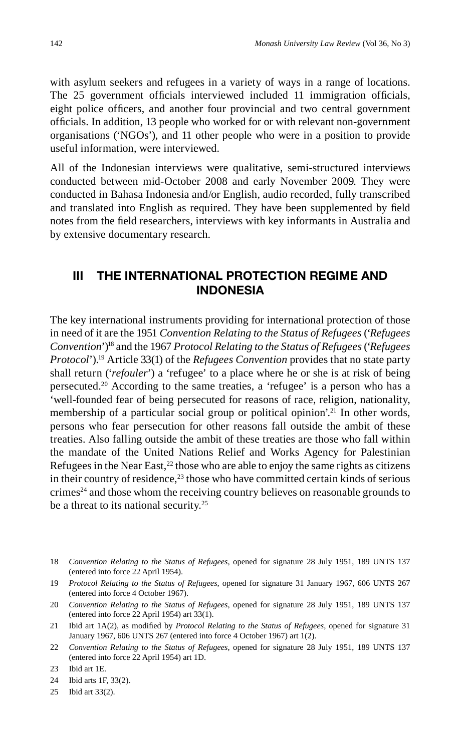with asylum seekers and refugees in a variety of ways in a range of locations. The 25 government officials interviewed included 11 immigration officials, eight police officers, and another four provincial and two central government officials. In addition, 13 people who worked for or with relevant non-government organisations ('NGOs'), and 11 other people who were in a position to provide useful information, were interviewed.

All of the Indonesian interviews were qualitative, semi-structured interviews conducted between mid-October 2008 and early November 2009. They were conducted in Bahasa Indonesia and/or English, audio recorded, fully transcribed and translated into English as required. They have been supplemented by field notes from the field researchers, interviews with key informants in Australia and by extensive documentary research.

### **III THE INTERNATIONAL PROTECTION REGIME AND INDONESIA**

The key international instruments providing for international protection of those in need of it are the 1951 *Convention Relating to the Status of Refugees* ('*Refugees Convention*')18 and the 1967 *Protocol Relating to the Status of Refugees* ('*Refugees Protocol*').19 Article 33(1) of the *Refugees Convention* provides that no state party shall return ('*refouler*') a 'refugee' to a place where he or she is at risk of being persecuted.20 According to the same treaties, a 'refugee' is a person who has a 'well-founded fear of being persecuted for reasons of race, religion, nationality, membership of a particular social group or political opinion'.<sup>21</sup> In other words, persons who fear persecution for other reasons fall outside the ambit of these treaties. Also falling outside the ambit of these treaties are those who fall within the mandate of the United Nations Relief and Works Agency for Palestinian Refugees in the Near East, $^{22}$  those who are able to enjoy the same rights as citizens in their country of residence, $^{23}$  those who have committed certain kinds of serious crimes<sup>24</sup> and those whom the receiving country believes on reasonable grounds to be a threat to its national security.<sup>25</sup>

<sup>18</sup> *Convention Relating to the Status of Refugees,* opened for signature 28 July 1951, 189 UNTS 137 (entered into force 22 April 1954).

<sup>19</sup> *Protocol Relating to the Status of Refugees,* opened for signature 31 January 1967, 606 UNTS 267 (entered into force 4 October 1967).

<sup>20</sup> *Convention Relating to the Status of Refugees*, opened for signature 28 July 1951, 189 UNTS 137 (entered into force 22 April 1954) art 33(1).

<sup>21</sup> Ibid art 1A(2), as modified by *Protocol Relating to the Status of Refugees*, opened for signature 31 January 1967, 606 UNTS 267 (entered into force 4 October 1967) art 1(2).

<sup>22</sup> *Convention Relating to the Status of Refugees*, opened for signature 28 July 1951, 189 UNTS 137 (entered into force 22 April 1954) art 1D.

<sup>23</sup> Ibid art 1E.

<sup>24</sup> Ibid arts 1F, 33(2).

<sup>25</sup> Ibid art 33(2).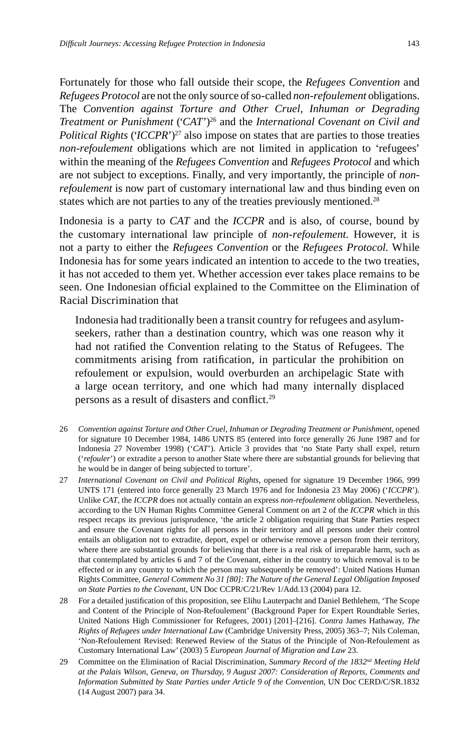Fortunately for those who fall outside their scope, the *Refugees Convention* and *Refugees Protocol* are not the only source of so-called *non-refoulement* obligations. The *Convention against Torture and Other Cruel, Inhuman or Degrading Treatment or Punishment* ('*CAT*')26 and the *International Covenant on Civil and Political Rights* (*'ICCPR*')<sup>27</sup> also impose on states that are parties to those treaties *non-refoulement* obligations which are not limited in application to 'refugees' within the meaning of the *Refugees Convention* and *Refugees Protocol* and which are not subject to exceptions. Finally, and very importantly, the principle of *nonrefoulement* is now part of customary international law and thus binding even on states which are not parties to any of the treaties previously mentioned.<sup>28</sup>

Indonesia is a party to *CAT* and the *ICCPR* and is also, of course, bound by the customary international law principle of *non-refoulement*. However, it is not a party to either the *Refugees Convention* or the *Refugees Protocol*. While Indonesia has for some years indicated an intention to accede to the two treaties, it has not acceded to them yet. Whether accession ever takes place remains to be seen. One Indonesian official explained to the Committee on the Elimination of Racial Discrimination that

Indonesia had traditionally been a transit country for refugees and asylumseekers, rather than a destination country, which was one reason why it had not ratified the Convention relating to the Status of Refugees. The commitments arising from ratification, in particular the prohibition on refoulement or expulsion, would overburden an archipelagic State with a large ocean territory, and one which had many internally displaced persons as a result of disasters and conflict.<sup>29</sup>

- 26 *Convention against Torture and Other Cruel, Inhuman or Degrading Treatment or Punishment*, opened for signature 10 December 1984, 1486 UNTS 85 (entered into force generally 26 June 1987 and for Indonesia 27 November 1998) ('*CAT*'). Article 3 provides that 'no State Party shall expel, return ('*refouler*') or extradite a person to another State where there are substantial grounds for believing that he would be in danger of being subjected to torture'.
- 27 *International Covenant on Civil and Political Rights*, opened for signature 19 December 1966, 999 UNTS 171 (entered into force generally 23 March 1976 and for Indonesia 23 May 2006) ('*ICCPR*'). Unlike *CAT*, the *ICCPR* does not actually contain an express *non-refoulement* obligation. Nevertheless, according to the UN Human Rights Committee General Comment on art 2 of the *ICCPR* which in this respect recaps its previous jurisprudence, 'the article 2 obligation requiring that State Parties respect and ensure the Covenant rights for all persons in their territory and all persons under their control entails an obligation not to extradite, deport, expel or otherwise remove a person from their territory, where there are substantial grounds for believing that there is a real risk of irreparable harm, such as that contemplated by articles 6 and 7 of the Covenant, either in the country to which removal is to be effected or in any country to which the person may subsequently be removed': United Nations Human Rights Committee, *General Comment No 31 [80]: The Nature of the General Legal Obligation Imposed on State Parties to the Covenant*, UN Doc CCPR/C/21/Rev 1/Add.13 (2004) para 12.
- 28 For a detailed justification of this proposition, see Elihu Lauterpacht and Daniel Bethlehem, 'The Scope and Content of the Principle of Non-Refoulement' (Background Paper for Expert Roundtable Series, United Nations High Commissioner for Refugees, 2001) [201]–[216]. *Contra* James Hathaway, *The Rights of Refugees under International Law* (Cambridge University Press, 2005) 363–7; Nils Coleman, 'Non-Refoulement Revised: Renewed Review of the Status of the Principle of Non-Refoulement as Customary International Law' (2003) 5 *European Journal of Migration and Law* 23.
- 29 Committee on the Elimination of Racial Discrimination, *Summary Record of the 1832nd Meeting Held at the Palais Wilson*, *Geneva, on Thursday, 9 August 2007: Consideration of Reports, Comments and Information Submitted by State Parties under Article 9 of the Convention*, UN Doc CERD/C/SR.1832 (14 August 2007) para 34.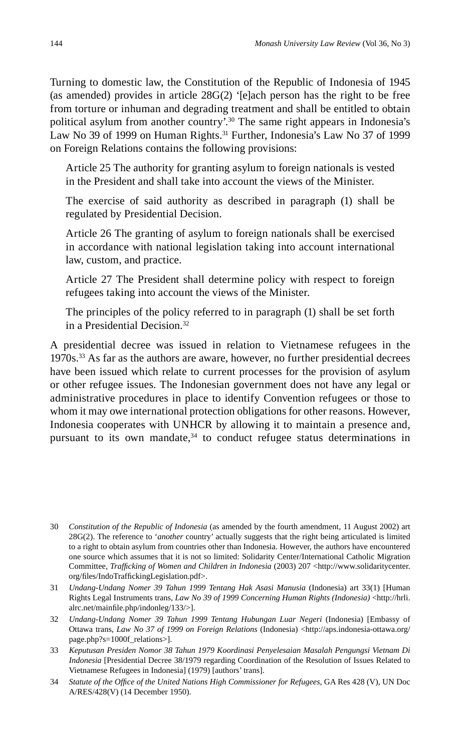Turning to domestic law, the Constitution of the Republic of Indonesia of 1945 (as amended) provides in article 28G(2) '[e]ach person has the right to be free from torture or inhuman and degrading treatment and shall be entitled to obtain political asylum from another country<sup>'30</sup> The same right appears in Indonesia's Law No 39 of 1999 on Human Rights.<sup>31</sup> Further, Indonesia's Law No 37 of 1999 on Foreign Relations contains the following provisions:

Article 25 The authority for granting asylum to foreign nationals is vested in the President and shall take into account the views of the Minister.

The exercise of said authority as described in paragraph (1) shall be regulated by Presidential Decision.

Article 26 The granting of asylum to foreign nationals shall be exercised in accordance with national legislation taking into account international law, custom, and practice.

Article 27 The President shall determine policy with respect to foreign refugees taking into account the views of the Minister.

The principles of the policy referred to in paragraph (1) shall be set forth in a Presidential Decision.32

A presidential decree was issued in relation to Vietnamese refugees in the 1970s.33 As far as the authors are aware, however, no further presidential decrees have been issued which relate to current processes for the provision of asylum or other refugee issues. The Indonesian government does not have any legal or administrative procedures in place to identify Convention refugees or those to whom it may owe international protection obligations for other reasons. However, Indonesia cooperates with UNHCR by allowing it to maintain a presence and, pursuant to its own mandate,<sup>34</sup> to conduct refugee status determinations in

<sup>30</sup> *Constitution of the Republic of Indonesia* (as amended by the fourth amendment, 11 August 2002) art 28G(2). The reference to '*another* country' actually suggests that the right being articulated is limited to a right to obtain asylum from countries other than Indonesia. However, the authors have encountered one source which assumes that it is not so limited: Solidarity Center/International Catholic Migration Committee, *Traffi cking of Women and Children in Indonesia* (2003) 207 <http://www.solidaritycenter. org/files/IndoTraffickingLegislation.pdf>.

<sup>31</sup> *Undang-Undang Nomer 39 Tahun 1999 Tentang Hak Asasi Manusia* (Indonesia) art 33(1) [Human Rights Legal Instruments trans*, Law No 39 of 1999 Concerning Human Rights (Indonesia)* <http://hrli. alrc.net/mainfile.php/indonleg/133/>].

<sup>32</sup> *Undang-Undang Nomer 39 Tahun 1999 Tentang Hubungan Luar Negeri* (Indonesia) [Embassy of Ottawa trans, *Law No 37 of 1999 on Foreign Relations* (Indonesia) <http://aps.indonesia-ottawa.org/ page.php?s=1000f\_relations>].

<sup>33</sup> *Keputusan Presiden Nomor 38 Tahun 1979 Koordinasi Penyelesaian Masalah Pengungsi Vietnam Di Indonesia* [Presidential Decree 38/1979 regarding Coordination of the Resolution of Issues Related to Vietnamese Refugees in Indonesia] (1979) [authors' trans].

<sup>34</sup> *Statute of the Offi ce of the United Nations High Commissioner for Refugees*, GA Res 428 (V), UN Doc A/RES/428(V) (14 December 1950).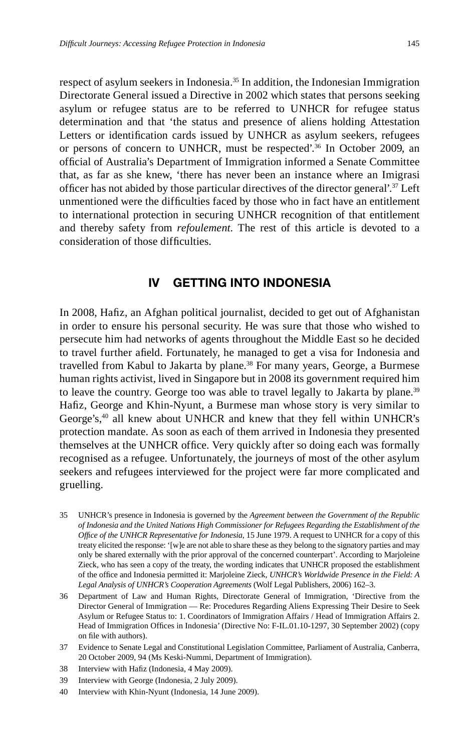respect of asylum seekers in Indonesia.<sup>35</sup> In addition, the Indonesian Immigration Directorate General issued a Directive in 2002 which states that persons seeking asylum or refugee status are to be referred to UNHCR for refugee status determination and that 'the status and presence of aliens holding Attestation Letters or identification cards issued by UNHCR as asylum seekers, refugees or persons of concern to UNHCR, must be respected'.36 In October 2009, an official of Australia's Department of Immigration informed a Senate Committee that, as far as she knew, 'there has never been an instance where an Imigrasi officer has not abided by those particular directives of the director general'. $37$  Left unmentioned were the difficulties faced by those who in fact have an entitlement to international protection in securing UNHCR recognition of that entitlement and thereby safety from *refoulement*. The rest of this article is devoted to a consideration of those difficulties.

# **IV GETTING INTO INDONESIA**

In 2008, Hafiz, an Afghan political journalist, decided to get out of Afghanistan in order to ensure his personal security. He was sure that those who wished to persecute him had networks of agents throughout the Middle East so he decided to travel further afield. Fortunately, he managed to get a visa for Indonesia and travelled from Kabul to Jakarta by plane.<sup>38</sup> For many years, George, a Burmese human rights activist, lived in Singapore but in 2008 its government required him to leave the country. George too was able to travel legally to Jakarta by plane.<sup>39</sup> Hafiz, George and Khin-Nyunt, a Burmese man whose story is very similar to George's,40 all knew about UNHCR and knew that they fell within UNHCR's protection mandate. As soon as each of them arrived in Indonesia they presented themselves at the UNHCR office. Very quickly after so doing each was formally recognised as a refugee. Unfortunately, the journeys of most of the other asylum seekers and refugees interviewed for the project were far more complicated and gruelling.

- 35 UNHCR's presence in Indonesia is governed by the *Agreement between the Government of the Republic of Indonesia and the United Nations High Commissioner for Refugees Regarding the Establishment of the Offi ce of the UNHCR Representative for Indonesia*, 15 June 1979. A request to UNHCR for a copy of this treaty elicited the response: '[w]e are not able to share these as they belong to the signatory parties and may only be shared externally with the prior approval of the concerned counterpart'. According to Marjoleine Zieck, who has seen a copy of the treaty, the wording indicates that UNHCR proposed the establishment of the office and Indonesia permitted it: Marjoleine Zieck, *UNHCR's Worldwide Presence in the Field: A Legal Analysis of UNHCR's Cooperation Agreements* (Wolf Legal Publishers, 2006) 162–3.
- 36 Department of Law and Human Rights, Directorate General of Immigration, 'Directive from the Director General of Immigration — Re: Procedures Regarding Aliens Expressing Their Desire to Seek Asylum or Refugee Status to: 1. Coordinators of Immigration Affairs / Head of Immigration Affairs 2. Head of Immigration Offices in Indonesia' (Directive No: F-IL.01.10-1297, 30 September 2002) (copy on file with authors).
- 37 Evidence to Senate Legal and Constitutional Legislation Committee, Parliament of Australia, Canberra, 20 October 2009, 94 (Ms Keski-Nummi, Department of Immigration).
- 38 Interview with Hafiz (Indonesia, 4 May 2009).
- 39 Interview with George (Indonesia, 2 July 2009).
- 40 Interview with Khin-Nyunt (Indonesia, 14 June 2009).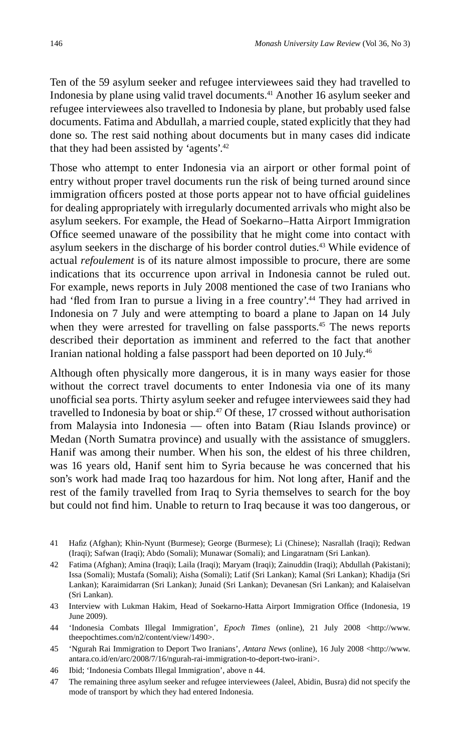Ten of the 59 asylum seeker and refugee interviewees said they had travelled to Indonesia by plane using valid travel documents.<sup>41</sup> Another 16 asylum seeker and refugee interviewees also travelled to Indonesia by plane, but probably used false documents. Fatima and Abdullah, a married couple, stated explicitly that they had done so. The rest said nothing about documents but in many cases did indicate that they had been assisted by 'agents'.42

Those who attempt to enter Indonesia via an airport or other formal point of entry without proper travel documents run the risk of being turned around since immigration officers posted at those ports appear not to have official guidelines for dealing appropriately with irregularly documented arrivals who might also be asylum seekers. For example, the Head of Soekarno–Hatta Airport Immigration Office seemed unaware of the possibility that he might come into contact with asylum seekers in the discharge of his border control duties.43 While evidence of actual *refoulement* is of its nature almost impossible to procure, there are some indications that its occurrence upon arrival in Indonesia cannot be ruled out. For example, news reports in July 2008 mentioned the case of two Iranians who had 'fled from Iran to pursue a living in a free country'.<sup>44</sup> They had arrived in Indonesia on 7 July and were attempting to board a plane to Japan on 14 July when they were arrested for travelling on false passports.<sup>45</sup> The news reports described their deportation as imminent and referred to the fact that another Iranian national holding a false passport had been deported on 10 July.46

Although often physically more dangerous, it is in many ways easier for those without the correct travel documents to enter Indonesia via one of its many unofficial sea ports. Thirty asylum seeker and refugee interviewees said they had travelled to Indonesia by boat or ship.<sup>47</sup> Of these, 17 crossed without authorisation from Malaysia into Indonesia — often into Batam (Riau Islands province) or Medan (North Sumatra province) and usually with the assistance of smugglers. Hanif was among their number. When his son, the eldest of his three children, was 16 years old, Hanif sent him to Syria because he was concerned that his son's work had made Iraq too hazardous for him. Not long after, Hanif and the rest of the family travelled from Iraq to Syria themselves to search for the boy but could not find him. Unable to return to Iraq because it was too dangerous, or

- 41 Hafiz (Afghan); Khin-Nyunt (Burmese); George (Burmese); Li (Chinese); Nasrallah (Iraqi); Redwan (Iraqi); Safwan (Iraqi); Abdo (Somali); Munawar (Somali); and Lingaratnam (Sri Lankan).
- 42 Fatima (Afghan); Amina (Iraqi); Laila (Iraqi); Maryam (Iraqi); Zainuddin (Iraqi); Abdullah (Pakistani); Issa (Somali); Mustafa (Somali); Aisha (Somali); Latif (Sri Lankan); Kamal (Sri Lankan); Khadija (Sri Lankan); Karaimidarran (Sri Lankan); Junaid (Sri Lankan); Devanesan (Sri Lankan); and Kalaiselvan (Sri Lankan).
- 43 Interview with Lukman Hakim, Head of Soekarno-Hatta Airport Immigration Office (Indonesia, 19 June 2009).
- 44 'Indonesia Combats Illegal Immigration', *Epoch Times* (online), 21 July 2008 <http://www. theepochtimes.com/n2/content/view/1490>.
- 45 'Ngurah Rai Immigration to Deport Two Iranians', *Antara News* (online), 16 July 2008 <http://www. antara.co.id/en/arc/2008/7/16/ngurah-rai-immigration-to-deport-two-irani>.
- 46 Ibid; 'Indonesia Combats Illegal Immigration', above n 44.
- 47 The remaining three asylum seeker and refugee interviewees (Jaleel, Abidin, Busra) did not specify the mode of transport by which they had entered Indonesia.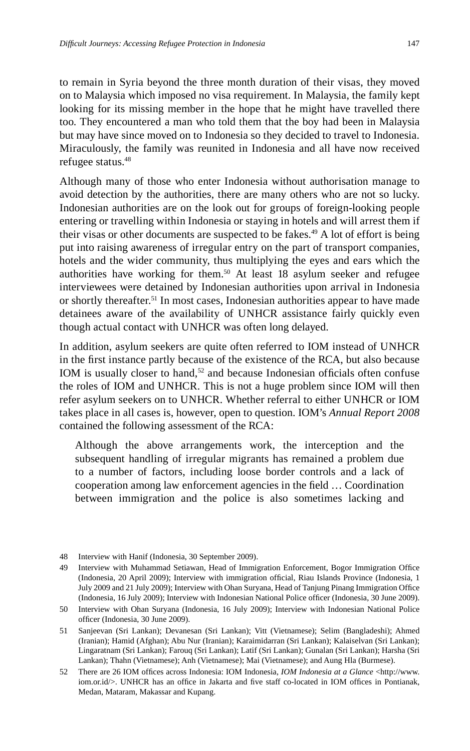to remain in Syria beyond the three month duration of their visas, they moved on to Malaysia which imposed no visa requirement. In Malaysia, the family kept looking for its missing member in the hope that he might have travelled there too. They encountered a man who told them that the boy had been in Malaysia but may have since moved on to Indonesia so they decided to travel to Indonesia. Miraculously, the family was reunited in Indonesia and all have now received refugee status.48

Although many of those who enter Indonesia without authorisation manage to avoid detection by the authorities, there are many others who are not so lucky. Indonesian authorities are on the look out for groups of foreign-looking people entering or travelling within Indonesia or staying in hotels and will arrest them if their visas or other documents are suspected to be fakes.<sup>49</sup> A lot of effort is being put into raising awareness of irregular entry on the part of transport companies, hotels and the wider community, thus multiplying the eyes and ears which the authorities have working for them.<sup>50</sup> At least 18 asylum seeker and refugee interviewees were detained by Indonesian authorities upon arrival in Indonesia or shortly thereafter.<sup>51</sup> In most cases, Indonesian authorities appear to have made detainees aware of the availability of UNHCR assistance fairly quickly even though actual contact with UNHCR was often long delayed.

In addition, asylum seekers are quite often referred to IOM instead of UNHCR in the first instance partly because of the existence of the RCA, but also because IOM is usually closer to hand, $52$  and because Indonesian officials often confuse the roles of IOM and UNHCR. This is not a huge problem since IOM will then refer asylum seekers on to UNHCR. Whether referral to either UNHCR or IOM takes place in all cases is, however, open to question. IOM's *Annual Report 2008*  contained the following assessment of the RCA:

Although the above arrangements work, the interception and the subsequent handling of irregular migrants has remained a problem due to a number of factors, including loose border controls and a lack of cooperation among law enforcement agencies in the field ... Coordination between immigration and the police is also sometimes lacking and

<sup>48</sup> Interview with Hanif (Indonesia, 30 September 2009).

<sup>49</sup> Interview with Muhammad Setiawan, Head of Immigration Enforcement, Bogor Immigration Office (Indonesia, 20 April 2009); Interview with immigration official, Riau Islands Province (Indonesia, 1 July 2009 and 21 July 2009); Interview with Ohan Suryana, Head of Tanjung Pinang Immigration Office (Indonesia, 16 July 2009); Interview with Indonesian National Police officer (Indonesia, 30 June 2009).

<sup>50</sup> Interview with Ohan Suryana (Indonesia, 16 July 2009); Interview with Indonesian National Police officer (Indonesia, 30 June 2009).

<sup>51</sup> Sanjeevan (Sri Lankan); Devanesan (Sri Lankan); Vitt (Vietnamese); Selim (Bangladeshi); Ahmed (Iranian); Hamid (Afghan); Abu Nur (Iranian); Karaimidarran (Sri Lankan); Kalaiselvan (Sri Lankan); Lingaratnam (Sri Lankan); Farouq (Sri Lankan); Latif (Sri Lankan); Gunalan (Sri Lankan); Harsha (Sri Lankan); Thahn (Vietnamese); Anh (Vietnamese); Mai (Vietnamese); and Aung Hla (Burmese).

<sup>52</sup> There are 26 IOM offices across Indonesia: IOM Indonesia, *IOM Indonesia at a Glance* <http://www. iom.or.id/>. UNHCR has an office in Jakarta and five staff co-located in IOM offices in Pontianak, Medan, Mataram, Makassar and Kupang.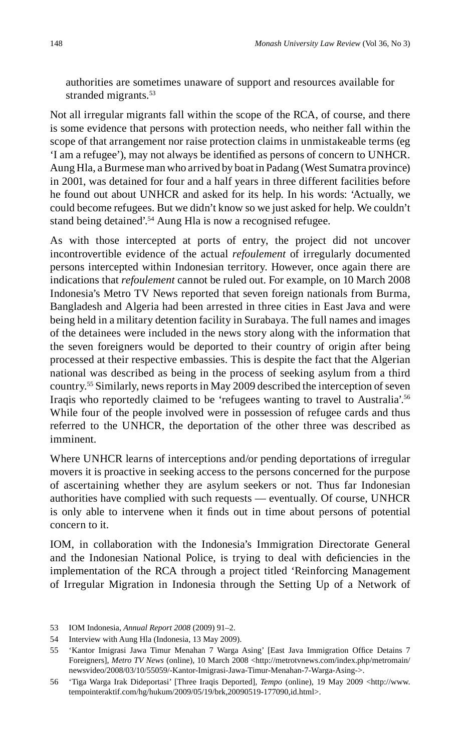authorities are sometimes unaware of support and resources available for stranded migrants.<sup>53</sup>

Not all irregular migrants fall within the scope of the RCA, of course, and there is some evidence that persons with protection needs, who neither fall within the scope of that arrangement nor raise protection claims in unmistakeable terms (eg 'I am a refugee'), may not always be identified as persons of concern to UNHCR. Aung Hla, a Burmese man who arrived by boat in Padang (West Sumatra province) in 2001, was detained for four and a half years in three different facilities before he found out about UNHCR and asked for its help. In his words: 'Actually, we could become refugees. But we didn't know so we just asked for help. We couldn't stand being detained'.<sup>54</sup> Aung Hla is now a recognised refugee.

As with those intercepted at ports of entry, the project did not uncover incontrovertible evidence of the actual *refoulement* of irregularly documented persons intercepted within Indonesian territory. However, once again there are indications that *refoulement* cannot be ruled out. For example, on 10 March 2008 Indonesia's Metro TV News reported that seven foreign nationals from Burma, Bangladesh and Algeria had been arrested in three cities in East Java and were being held in a military detention facility in Surabaya. The full names and images of the detainees were included in the news story along with the information that the seven foreigners would be deported to their country of origin after being processed at their respective embassies. This is despite the fact that the Algerian national was described as being in the process of seeking asylum from a third country.55 Similarly, news reports in May 2009 described the interception of seven Iraqis who reportedly claimed to be 'refugees wanting to travel to Australia'.56 While four of the people involved were in possession of refugee cards and thus referred to the UNHCR, the deportation of the other three was described as imminent.

Where UNHCR learns of interceptions and/or pending deportations of irregular movers it is proactive in seeking access to the persons concerned for the purpose of ascertaining whether they are asylum seekers or not. Thus far Indonesian authorities have complied with such requests — eventually. Of course, UNHCR is only able to intervene when it finds out in time about persons of potential concern to it.

IOM, in collaboration with the Indonesia's Immigration Directorate General and the Indonesian National Police, is trying to deal with deficiencies in the implementation of the RCA through a project titled 'Reinforcing Management of Irregular Migration in Indonesia through the Setting Up of a Network of

<sup>53</sup> IOM Indonesia, *Annual Report 2008* (2009) 91–2.

<sup>54</sup> Interview with Aung Hla (Indonesia, 13 May 2009).

<sup>55 &#</sup>x27;Kantor Imigrasi Jawa Timur Menahan 7 Warga Asing' [East Java Immigration Office Detains 7 Foreigners], *Metro TV News* (online), 10 March 2008 <http://metrotvnews.com/index.php/metromain/ newsvideo/2008/03/10/55059/-Kantor-Imigrasi-Jawa-Timur-Menahan-7-Warga-Asing->.

<sup>56 &#</sup>x27;Tiga Warga Irak Dideportasi' [Three Iraqis Deported], *Tempo* (online), 19 May 2009 <http://www. tempointeraktif.com/hg/hukum/2009/05/19/brk,20090519-177090,id.html>.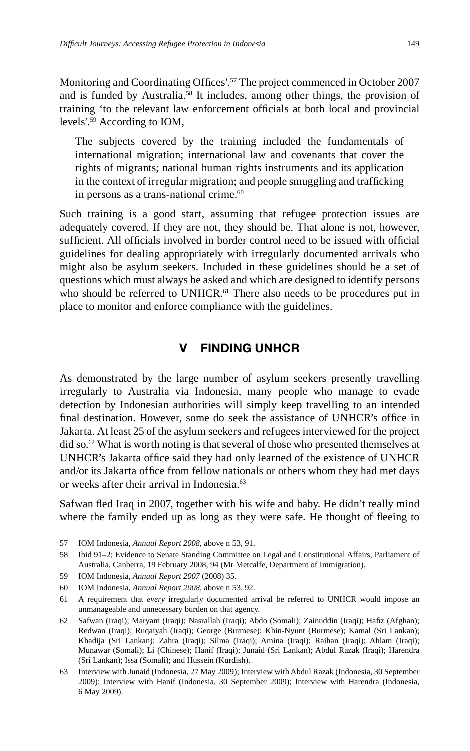Monitoring and Coordinating Offices'.<sup>57</sup> The project commenced in October 2007 and is funded by Australia.<sup>58</sup> It includes, among other things, the provision of training 'to the relevant law enforcement officials at both local and provincial levels'.59 According to IOM,

The subjects covered by the training included the fundamentals of international migration; international law and covenants that cover the rights of migrants; national human rights instruments and its application in the context of irregular migration; and people smuggling and trafficking in persons as a trans-national crime.<sup>60</sup>

Such training is a good start, assuming that refugee protection issues are adequately covered. If they are not, they should be. That alone is not, however, sufficient. All officials involved in border control need to be issued with official guidelines for dealing appropriately with irregularly documented arrivals who might also be asylum seekers. Included in these guidelines should be a set of questions which must always be asked and which are designed to identify persons who should be referred to UNHCR. $61$  There also needs to be procedures put in place to monitor and enforce compliance with the guidelines.

#### **V FINDING UNHCR**

As demonstrated by the large number of asylum seekers presently travelling irregularly to Australia via Indonesia, many people who manage to evade detection by Indonesian authorities will simply keep travelling to an intended final destination. However, some do seek the assistance of UNHCR's office in Jakarta. At least 25 of the asylum seekers and refugees interviewed for the project did so.62 What is worth noting is that several of those who presented themselves at UNHCR's Jakarta office said they had only learned of the existence of UNHCR and/or its Jakarta office from fellow nationals or others whom they had met days or weeks after their arrival in Indonesia.<sup>63</sup>

Safwan fled Iraq in 2007, together with his wife and baby. He didn't really mind where the family ended up as long as they were safe. He thought of fleeing to

- 57 IOM Indonesia, *Annual Report 2008*, above n 53, 91.
- 58 Ibid 91–2; Evidence to Senate Standing Committee on Legal and Constitutional Affairs, Parliament of Australia, Canberra, 19 February 2008, 94 (Mr Metcalfe, Department of Immigration).
- 59 IOM Indonesia, *Annual Report 2007* (2008) 35.
- 60 IOM Indonesia, *Annual Report 2008*, above n 53, 92.
- 61 A requirement that *every* irregularly documented arrival be referred to UNHCR would impose an unmanageable and unnecessary burden on that agency.
- 62 Safwan (Iraqi); Maryam (Iraqi); Nasrallah (Iraqi); Abdo (Somali); Zainuddin (Iraqi); Hafiz (Afghan); Redwan (Iraqi); Ruqaiyah (Iraqi); George (Burmese); Khin-Nyunt (Burmese); Kamal (Sri Lankan); Khadija (Sri Lankan); Zahra (Iraqi); Silma (Iraqi); Amina (Iraqi); Raihan (Iraqi); Ahlam (Iraqi); Munawar (Somali); Li (Chinese); Hanif (Iraqi); Junaid (Sri Lankan); Abdul Razak (Iraqi); Harendra (Sri Lankan); Issa (Somali); and Hussein (Kurdish).
- 63 Interview with Junaid (Indonesia, 27 May 2009); Interview with Abdul Razak (Indonesia, 30 September 2009); Interview with Hanif (Indonesia, 30 September 2009); Interview with Harendra (Indonesia, 6 May 2009).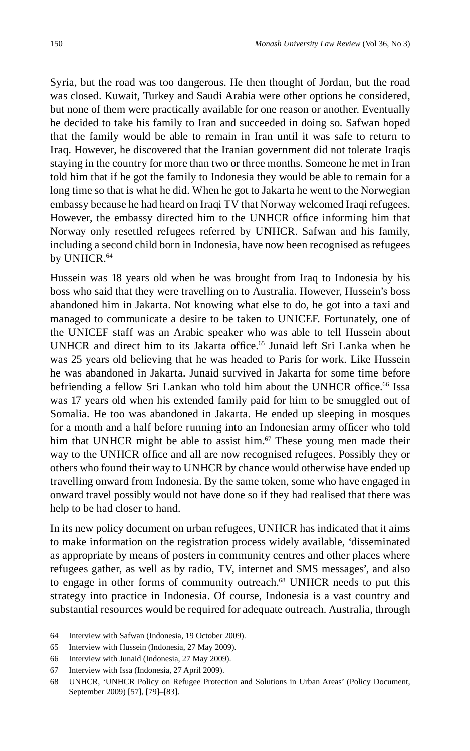Syria, but the road was too dangerous. He then thought of Jordan, but the road was closed. Kuwait, Turkey and Saudi Arabia were other options he considered, but none of them were practically available for one reason or another. Eventually he decided to take his family to Iran and succeeded in doing so. Safwan hoped that the family would be able to remain in Iran until it was safe to return to Iraq. However, he discovered that the Iranian government did not tolerate Iraqis staying in the country for more than two or three months. Someone he met in Iran told him that if he got the family to Indonesia they would be able to remain for a long time so that is what he did. When he got to Jakarta he went to the Norwegian embassy because he had heard on Iraqi TV that Norway welcomed Iraqi refugees. However, the embassy directed him to the UNHCR office informing him that Norway only resettled refugees referred by UNHCR. Safwan and his family, including a second child born in Indonesia, have now been recognised as refugees by UNHCR.<sup>64</sup>

Hussein was 18 years old when he was brought from Iraq to Indonesia by his boss who said that they were travelling on to Australia. However, Hussein's boss abandoned him in Jakarta. Not knowing what else to do, he got into a taxi and managed to communicate a desire to be taken to UNICEF. Fortunately, one of the UNICEF staff was an Arabic speaker who was able to tell Hussein about UNHCR and direct him to its Jakarta office.<sup>65</sup> Junaid left Sri Lanka when he was 25 years old believing that he was headed to Paris for work. Like Hussein he was abandoned in Jakarta. Junaid survived in Jakarta for some time before befriending a fellow Sri Lankan who told him about the UNHCR office.<sup>66</sup> Issa was 17 years old when his extended family paid for him to be smuggled out of Somalia. He too was abandoned in Jakarta. He ended up sleeping in mosques for a month and a half before running into an Indonesian army officer who told him that UNHCR might be able to assist him. $67$  These young men made their way to the UNHCR office and all are now recognised refugees. Possibly they or others who found their way to UNHCR by chance would otherwise have ended up travelling onward from Indonesia. By the same token, some who have engaged in onward travel possibly would not have done so if they had realised that there was help to be had closer to hand.

In its new policy document on urban refugees, UNHCR has indicated that it aims to make information on the registration process widely available, 'disseminated as appropriate by means of posters in community centres and other places where refugees gather, as well as by radio, TV, internet and SMS messages', and also to engage in other forms of community outreach.<sup>68</sup> UNHCR needs to put this strategy into practice in Indonesia. Of course, Indonesia is a vast country and substantial resources would be required for adequate outreach. Australia, through

- 64 Interview with Safwan (Indonesia, 19 October 2009).
- 65 Interview with Hussein (Indonesia, 27 May 2009).
- 66 Interview with Junaid (Indonesia, 27 May 2009).
- 67 Interview with Issa (Indonesia, 27 April 2009).

<sup>68</sup> UNHCR, 'UNHCR Policy on Refugee Protection and Solutions in Urban Areas' (Policy Document, September 2009) [57], [79]–[83].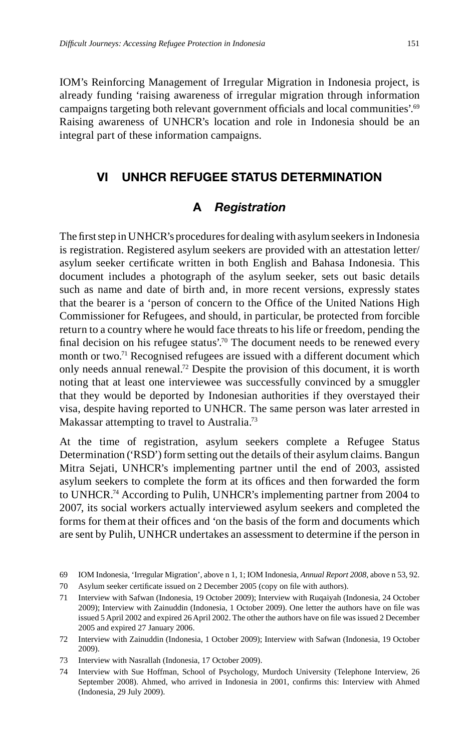IOM's Reinforcing Management of Irregular Migration in Indonesia project, is already funding 'raising awareness of irregular migration through information campaigns targeting both relevant government officials and local communities'.<sup>69</sup> Raising awareness of UNHCR's location and role in Indonesia should be an integral part of these information campaigns.

### **VI UNHCR REFUGEE STATUS DETERMINATION**

# **A** *Registration*

The first step in UNHCR's procedures for dealing with asylum seekers in Indonesia is registration. Registered asylum seekers are provided with an attestation letter/ asylum seeker certificate written in both English and Bahasa Indonesia. This document includes a photograph of the asylum seeker, sets out basic details such as name and date of birth and, in more recent versions, expressly states that the bearer is a 'person of concern to the Office of the United Nations High Commissioner for Refugees, and should, in particular, be protected from forcible return to a country where he would face threats to his life or freedom, pending the final decision on his refugee status'.<sup>70</sup> The document needs to be renewed every month or two.<sup>71</sup> Recognised refugees are issued with a different document which only needs annual renewal.72 Despite the provision of this document, it is worth noting that at least one interviewee was successfully convinced by a smuggler that they would be deported by Indonesian authorities if they overstayed their visa, despite having reported to UNHCR. The same person was later arrested in Makassar attempting to travel to Australia.<sup>73</sup>

At the time of registration, asylum seekers complete a Refugee Status Determination ('RSD') form setting out the details of their asylum claims. Bangun Mitra Sejati, UNHCR's implementing partner until the end of 2003, assisted asylum seekers to complete the form at its offices and then forwarded the form to UNHCR.74 According to Pulih, UNHCR's implementing partner from 2004 to 2007, its social workers actually interviewed asylum seekers and completed the forms for them at their offices and 'on the basis of the form and documents which are sent by Pulih, UNHCR undertakes an assessment to determine if the person in

<sup>69</sup> IOM Indonesia, 'Irregular Migration', above n 1, 1; IOM Indonesia, *Annual Report 2008*, above n 53, 92.

<sup>70</sup> Asylum seeker certificate issued on 2 December 2005 (copy on file with authors).

<sup>71</sup> Interview with Safwan (Indonesia, 19 October 2009); Interview with Ruqaiyah (Indonesia, 24 October 2009); Interview with Zainuddin (Indonesia, 1 October 2009). One letter the authors have on file was issued 5 April 2002 and expired 26 April 2002. The other the authors have on file was issued 2 December 2005 and expired 27 January 2006.

<sup>72</sup> Interview with Zainuddin (Indonesia, 1 October 2009); Interview with Safwan (Indonesia, 19 October 2009).

<sup>73</sup> Interview with Nasrallah (Indonesia, 17 October 2009).

<sup>74</sup> Interview with Sue Hoffman, School of Psychology, Murdoch University (Telephone Interview, 26 September 2008). Ahmed, who arrived in Indonesia in 2001, confirms this: Interview with Ahmed (Indonesia, 29 July 2009).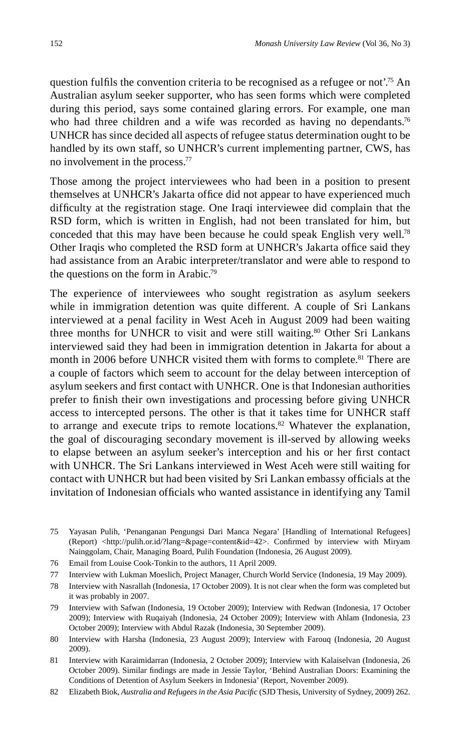question fulfils the convention criteria to be recognised as a refugee or not<sup> $75$ </sup>. An Australian asylum seeker supporter, who has seen forms which were completed during this period, says some contained glaring errors. For example, one man who had three children and a wife was recorded as having no dependants.<sup>76</sup> UNHCR has since decided all aspects of refugee status determination ought to be handled by its own staff, so UNHCR's current implementing partner, CWS, has no involvement in the process.77

Those among the project interviewees who had been in a position to present themselves at UNHCR's Jakarta office did not appear to have experienced much difficulty at the registration stage. One Iraqi interviewee did complain that the RSD form, which is written in English, had not been translated for him, but conceded that this may have been because he could speak English very well.78 Other Iraqis who completed the RSD form at UNHCR's Jakarta office said they had assistance from an Arabic interpreter/translator and were able to respond to the questions on the form in Arabic.79

The experience of interviewees who sought registration as asylum seekers while in immigration detention was quite different. A couple of Sri Lankans interviewed at a penal facility in West Aceh in August 2009 had been waiting three months for UNHCR to visit and were still waiting.<sup>80</sup> Other Sri Lankans interviewed said they had been in immigration detention in Jakarta for about a month in 2006 before UNHCR visited them with forms to complete.<sup>81</sup> There are a couple of factors which seem to account for the delay between interception of asylum seekers and first contact with UNHCR. One is that Indonesian authorities prefer to finish their own investigations and processing before giving UNHCR access to intercepted persons. The other is that it takes time for UNHCR staff to arrange and execute trips to remote locations.<sup>82</sup> Whatever the explanation, the goal of discouraging secondary movement is ill-served by allowing weeks to elapse between an asylum seeker's interception and his or her first contact with UNHCR. The Sri Lankans interviewed in West Aceh were still waiting for contact with UNHCR but had been visited by Sri Lankan embassy officials at the invitation of Indonesian officials who wanted assistance in identifying any Tamil

- 75 Yayasan Pulih, 'Penanganan Pengungsi Dari Manca Negara' [Handling of International Refugees] (Report) <http://pulih.or.id/?lang=&page=content&id=42>. Confirmed by interview with Miryam Nainggolam, Chair, Managing Board, Pulih Foundation (Indonesia, 26 August 2009).
- 76 Email from Louise Cook-Tonkin to the authors, 11 April 2009.
- 77 Interview with Lukman Moeslich, Project Manager, Church World Service (Indonesia, 19 May 2009).
- 78 Interview with Nasrallah (Indonesia, 17 October 2009). It is not clear when the form was completed but it was probably in 2007.
- 79 Interview with Safwan (Indonesia, 19 October 2009); Interview with Redwan (Indonesia, 17 October 2009); Interview with Ruqaiyah (Indonesia, 24 October 2009); Interview with Ahlam (Indonesia, 23 October 2009); Interview with Abdul Razak (Indonesia, 30 September 2009).
- 80 Interview with Harsha (Indonesia, 23 August 2009); Interview with Farouq (Indonesia, 20 August 2009).
- 81 Interview with Karaimidarran (Indonesia, 2 October 2009); Interview with Kalaiselvan (Indonesia, 26 October 2009). Similar findings are made in Jessie Taylor, 'Behind Australian Doors: Examining the Conditions of Detention of Asylum Seekers in Indonesia' (Report, November 2009).
- 82 Elizabeth Biok, *Australia and Refugees in the Asia Pacifi c* (SJD Thesis, University of Sydney, 2009) 262.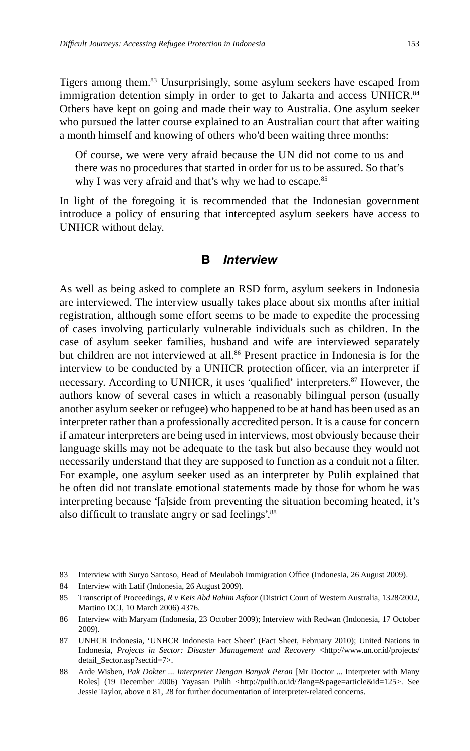Tigers among them.83 Unsurprisingly, some asylum seekers have escaped from immigration detention simply in order to get to Jakarta and access UNHCR.<sup>84</sup> Others have kept on going and made their way to Australia. One asylum seeker who pursued the latter course explained to an Australian court that after waiting a month himself and knowing of others who'd been waiting three months:

Of course, we were very afraid because the UN did not come to us and there was no procedures that started in order for us to be assured. So that's why I was very afraid and that's why we had to escape.<sup>85</sup>

In light of the foregoing it is recommended that the Indonesian government introduce a policy of ensuring that intercepted asylum seekers have access to UNHCR without delay.

#### **B** *Interview*

As well as being asked to complete an RSD form, asylum seekers in Indonesia are interviewed. The interview usually takes place about six months after initial registration, although some effort seems to be made to expedite the processing of cases involving particularly vulnerable individuals such as children. In the case of asylum seeker families, husband and wife are interviewed separately but children are not interviewed at all.<sup>86</sup> Present practice in Indonesia is for the interview to be conducted by a UNHCR protection officer, via an interpreter if necessary. According to UNHCR, it uses 'qualified' interpreters.<sup>87</sup> However, the authors know of several cases in which a reasonably bilingual person (usually another asylum seeker or refugee) who happened to be at hand has been used as an interpreter rather than a professionally accredited person. It is a cause for concern if amateur interpreters are being used in interviews, most obviously because their language skills may not be adequate to the task but also because they would not necessarily understand that they are supposed to function as a conduit not a filter. For example, one asylum seeker used as an interpreter by Pulih explained that he often did not translate emotional statements made by those for whom he was interpreting because '[a]side from preventing the situation becoming heated, it's also difficult to translate angry or sad feelings'.<sup>88</sup>

<sup>83</sup> Interview with Suryo Santoso, Head of Meulaboh Immigration Office (Indonesia, 26 August 2009).

<sup>84</sup> Interview with Latif (Indonesia, 26 August 2009).

<sup>85</sup> Transcript of Proceedings, *R v Keis Abd Rahim Asfoor* (District Court of Western Australia, 1328/2002, Martino DCJ, 10 March 2006) 4376.

<sup>86</sup> Interview with Maryam (Indonesia, 23 October 2009); Interview with Redwan (Indonesia, 17 October 2009).

<sup>87</sup> UNHCR Indonesia, 'UNHCR Indonesia Fact Sheet' (Fact Sheet, February 2010); United Nations in Indonesia, *Projects in Sector: Disaster Management and Recovery* <http://www.un.or.id/projects/ detail\_Sector.asp?sectid=7>.

<sup>88</sup> Arde Wisben, *Pak Dokter ... Interpreter Dengan Banyak Peran* [Mr Doctor ... Interpreter with Many Roles] (19 December 2006) Yayasan Pulih <http://pulih.or.id/?lang=&page=article&id=125>. See Jessie Taylor, above n 81, 28 for further documentation of interpreter-related concerns.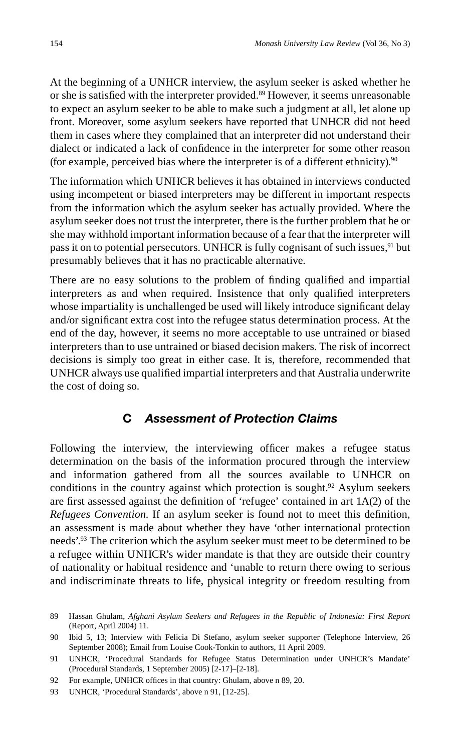At the beginning of a UNHCR interview, the asylum seeker is asked whether he or she is satisfied with the interpreter provided.<sup>89</sup> However, it seems unreasonable to expect an asylum seeker to be able to make such a judgment at all, let alone up front. Moreover, some asylum seekers have reported that UNHCR did not heed them in cases where they complained that an interpreter did not understand their dialect or indicated a lack of confidence in the interpreter for some other reason (for example, perceived bias where the interpreter is of a different ethnicity). $90$ 

The information which UNHCR believes it has obtained in interviews conducted using incompetent or biased interpreters may be different in important respects from the information which the asylum seeker has actually provided. Where the asylum seeker does not trust the interpreter, there is the further problem that he or she may withhold important information because of a fear that the interpreter will pass it on to potential persecutors. UNHCR is fully cognisant of such issues,<sup>91</sup> but presumably believes that it has no practicable alternative.

There are no easy solutions to the problem of finding qualified and impartial interpreters as and when required. Insistence that only qualified interpreters whose impartiality is unchallenged be used will likely introduce significant delay and/or significant extra cost into the refugee status determination process. At the end of the day, however, it seems no more acceptable to use untrained or biased interpreters than to use untrained or biased decision makers. The risk of incorrect decisions is simply too great in either case. It is, therefore, recommended that UNHCR always use qualified impartial interpreters and that Australia underwrite the cost of doing so.

### **C** *Assessment of Protection Claims*

Following the interview, the interviewing officer makes a refugee status determination on the basis of the information procured through the interview and information gathered from all the sources available to UNHCR on conditions in the country against which protection is sought.<sup>92</sup> Asylum seekers are first assessed against the definition of 'refugee' contained in art  $1A(2)$  of the *Refugees Convention*. If an asylum seeker is found not to meet this definition, an assessment is made about whether they have 'other international protection needs'.93 The criterion which the asylum seeker must meet to be determined to be a refugee within UNHCR's wider mandate is that they are outside their country of nationality or habitual residence and 'unable to return there owing to serious and indiscriminate threats to life, physical integrity or freedom resulting from

<sup>89</sup> Hassan Ghulam, *Afghani Asylum Seekers and Refugees in the Republic of Indonesia: First Report* (Report, April 2004) 11.

<sup>90</sup> Ibid 5, 13; Interview with Felicia Di Stefano, asylum seeker supporter (Telephone Interview, 26 September 2008); Email from Louise Cook-Tonkin to authors, 11 April 2009.

<sup>91</sup> UNHCR, 'Procedural Standards for Refugee Status Determination under UNHCR's Mandate' (Procedural Standards, 1 September 2005) [2-17]–[2-18].

<sup>92</sup> For example, UNHCR offices in that country: Ghulam, above n 89, 20.

<sup>93</sup> UNHCR, 'Procedural Standards', above n 91, [12-25].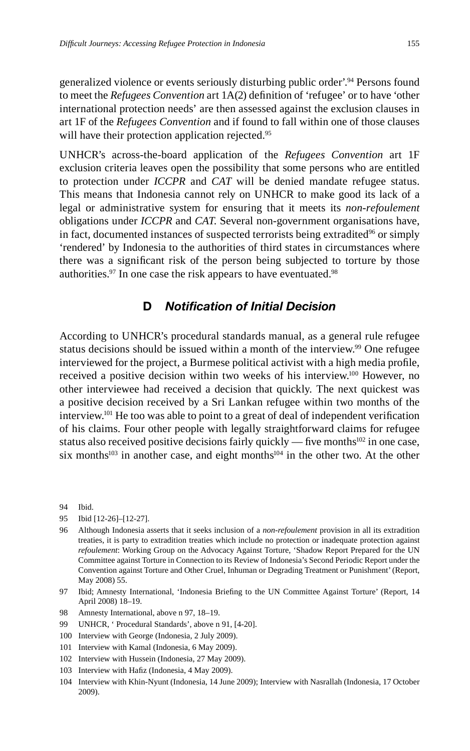generalized violence or events seriously disturbing public order'.<sup>94</sup> Persons found to meet the *Refugees Convention* art 1A(2) definition of 'refugee' or to have 'other international protection needs' are then assessed against the exclusion clauses in art 1F of the *Refugees Convention* and if found to fall within one of those clauses will have their protection application rejected.<sup>95</sup>

UNHCR's across-the-board application of the *Refugees Convention* art 1F exclusion criteria leaves open the possibility that some persons who are entitled to protection under *ICCPR* and *CAT* will be denied mandate refugee status. This means that Indonesia cannot rely on UNHCR to make good its lack of a legal or administrative system for ensuring that it meets its *non-refoulement* obligations under *ICCPR* and *CAT*. Several non-government organisations have, in fact, documented instances of suspected terrorists being extradited<sup>96</sup> or simply 'rendered' by Indonesia to the authorities of third states in circumstances where there was a significant risk of the person being subjected to torture by those authorities.<sup>97</sup> In one case the risk appears to have eventuated.<sup>98</sup>

### **D** *Notification of Initial Decision*

According to UNHCR's procedural standards manual, as a general rule refugee status decisions should be issued within a month of the interview.<sup>99</sup> One refugee interviewed for the project, a Burmese political activist with a high media profile, received a positive decision within two weeks of his interview.100 However, no other interviewee had received a decision that quickly. The next quickest was a positive decision received by a Sri Lankan refugee within two months of the interview.<sup>101</sup> He too was able to point to a great of deal of independent verification of his claims. Four other people with legally straightforward claims for refugee status also received positive decisions fairly quickly — five months $102$  in one case, six months<sup>103</sup> in another case, and eight months<sup>104</sup> in the other two. At the other

94 Ibid.

- 95 Ibid [12-26]–[12-27].
- 96 Although Indonesia asserts that it seeks inclusion of a *non-refoulement* provision in all its extradition treaties, it is party to extradition treaties which include no protection or inadequate protection against *refoulement*: Working Group on the Advocacy Against Torture, 'Shadow Report Prepared for the UN Committee against Torture in Connection to its Review of Indonesia's Second Periodic Report under the Convention against Torture and Other Cruel, Inhuman or Degrading Treatment or Punishment' (Report, May 2008) 55.
- 97 Ibid; Amnesty International, 'Indonesia Briefing to the UN Committee Against Torture' (Report, 14 April 2008) 18–19.
- 98 Amnesty International, above n 97, 18–19.
- 99 UNHCR, ' Procedural Standards', above n 91, [4-20].
- 100 Interview with George (Indonesia, 2 July 2009).
- 101 Interview with Kamal (Indonesia, 6 May 2009).
- 102 Interview with Hussein (Indonesia, 27 May 2009).
- 103 Interview with Hafiz (Indonesia, 4 May 2009).
- 104 Interview with Khin-Nyunt (Indonesia, 14 June 2009); Interview with Nasrallah (Indonesia, 17 October 2009).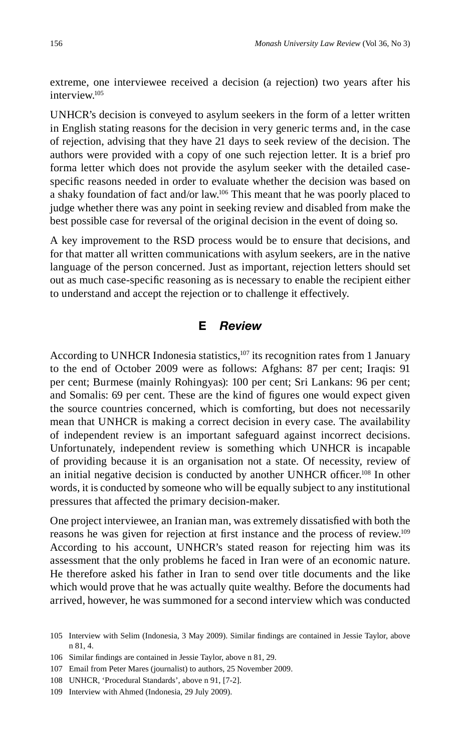extreme, one interviewee received a decision (a rejection) two years after his interview.105

UNHCR's decision is conveyed to asylum seekers in the form of a letter written in English stating reasons for the decision in very generic terms and, in the case of rejection, advising that they have 21 days to seek review of the decision. The authors were provided with a copy of one such rejection letter. It is a brief pro forma letter which does not provide the asylum seeker with the detailed casespecific reasons needed in order to evaluate whether the decision was based on a shaky foundation of fact and/or law.106 This meant that he was poorly placed to judge whether there was any point in seeking review and disabled from make the best possible case for reversal of the original decision in the event of doing so.

A key improvement to the RSD process would be to ensure that decisions, and for that matter all written communications with asylum seekers, are in the native language of the person concerned. Just as important, rejection letters should set out as much case-specific reasoning as is necessary to enable the recipient either to understand and accept the rejection or to challenge it effectively.

#### **E** *Review*

According to UNHCR Indonesia statistics, $107$  its recognition rates from 1 January to the end of October 2009 were as follows: Afghans: 87 per cent; Iraqis: 91 per cent; Burmese (mainly Rohingyas): 100 per cent; Sri Lankans: 96 per cent; and Somalis: 69 per cent. These are the kind of figures one would expect given the source countries concerned, which is comforting, but does not necessarily mean that UNHCR is making a correct decision in every case. The availability of independent review is an important safeguard against incorrect decisions. Unfortunately, independent review is something which UNHCR is incapable of providing because it is an organisation not a state. Of necessity, review of an initial negative decision is conducted by another UNHCR officer.<sup>108</sup> In other words, it is conducted by someone who will be equally subject to any institutional pressures that affected the primary decision-maker.

One project interviewee, an Iranian man, was extremely dissatisfied with both the reasons he was given for rejection at first instance and the process of review.<sup>109</sup> According to his account, UNHCR's stated reason for rejecting him was its assessment that the only problems he faced in Iran were of an economic nature. He therefore asked his father in Iran to send over title documents and the like which would prove that he was actually quite wealthy. Before the documents had arrived, however, he was summoned for a second interview which was conducted

<sup>105</sup> Interview with Selim (Indonesia, 3 May 2009). Similar findings are contained in Jessie Taylor, above n 81, 4.

<sup>106</sup> Similar findings are contained in Jessie Taylor, above n 81, 29.

<sup>107</sup> Email from Peter Mares (journalist) to authors, 25 November 2009.

<sup>108</sup> UNHCR, 'Procedural Standards', above n 91, [7-2].

<sup>109</sup> Interview with Ahmed (Indonesia, 29 July 2009).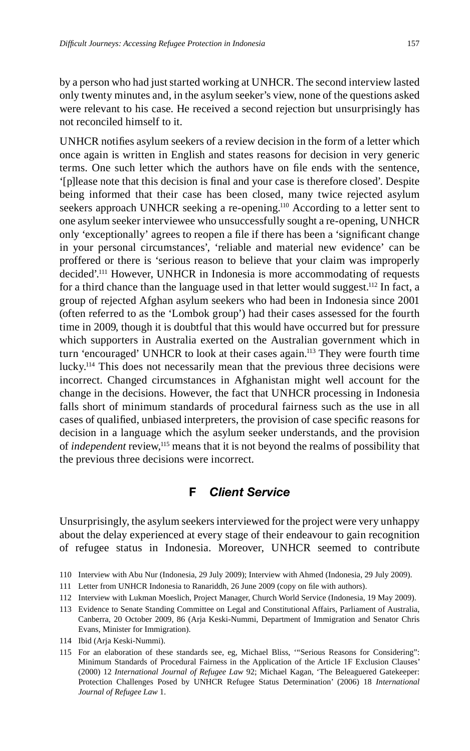by a person who had just started working at UNHCR. The second interview lasted only twenty minutes and, in the asylum seeker's view, none of the questions asked were relevant to his case. He received a second rejection but unsurprisingly has not reconciled himself to it.

UNHCR notifies asylum seekers of a review decision in the form of a letter which once again is written in English and states reasons for decision in very generic terms. One such letter which the authors have on file ends with the sentence, '[p]lease note that this decision is final and your case is therefore closed'. Despite being informed that their case has been closed, many twice rejected asylum seekers approach UNHCR seeking a re-opening.<sup>110</sup> According to a letter sent to one asylum seeker interviewee who unsuccessfully sought a re-opening, UNHCR only 'exceptionally' agrees to reopen a file if there has been a 'significant change in your personal circumstances', 'reliable and material new evidence' can be proffered or there is 'serious reason to believe that your claim was improperly decided'.111 However, UNHCR in Indonesia is more accommodating of requests for a third chance than the language used in that letter would suggest.<sup>112</sup> In fact, a group of rejected Afghan asylum seekers who had been in Indonesia since 2001 (often referred to as the 'Lombok group') had their cases assessed for the fourth time in 2009, though it is doubtful that this would have occurred but for pressure which supporters in Australia exerted on the Australian government which in turn 'encouraged' UNHCR to look at their cases again.<sup>113</sup> They were fourth time lucky.114 This does not necessarily mean that the previous three decisions were incorrect. Changed circumstances in Afghanistan might well account for the change in the decisions. However, the fact that UNHCR processing in Indonesia falls short of minimum standards of procedural fairness such as the use in all cases of qualified, unbiased interpreters, the provision of case specific reasons for decision in a language which the asylum seeker understands, and the provision of *independent* review,115 means that it is not beyond the realms of possibility that the previous three decisions were incorrect.

#### **F** *Client Service*

Unsurprisingly, the asylum seekers interviewed for the project were very unhappy about the delay experienced at every stage of their endeavour to gain recognition of refugee status in Indonesia. Moreover, UNHCR seemed to contribute

- 110 Interview with Abu Nur (Indonesia, 29 July 2009); Interview with Ahmed (Indonesia, 29 July 2009).
- 111 Letter from UNHCR Indonesia to Ranariddh, 26 June 2009 (copy on file with authors).
- 112 Interview with Lukman Moeslich, Project Manager, Church World Service (Indonesia, 19 May 2009).
- 113 Evidence to Senate Standing Committee on Legal and Constitutional Affairs, Parliament of Australia, Canberra, 20 October 2009, 86 (Arja Keski-Nummi, Department of Immigration and Senator Chris Evans, Minister for Immigration).
- 114 Ibid (Arja Keski-Nummi).
- 115 For an elaboration of these standards see, eg, Michael Bliss, '"Serious Reasons for Considering": Minimum Standards of Procedural Fairness in the Application of the Article 1F Exclusion Clauses' (2000) 12 *International Journal of Refugee Law* 92; Michael Kagan, 'The Beleaguered Gatekeeper: Protection Challenges Posed by UNHCR Refugee Status Determination' (2006) 18 *International Journal of Refugee Law* 1.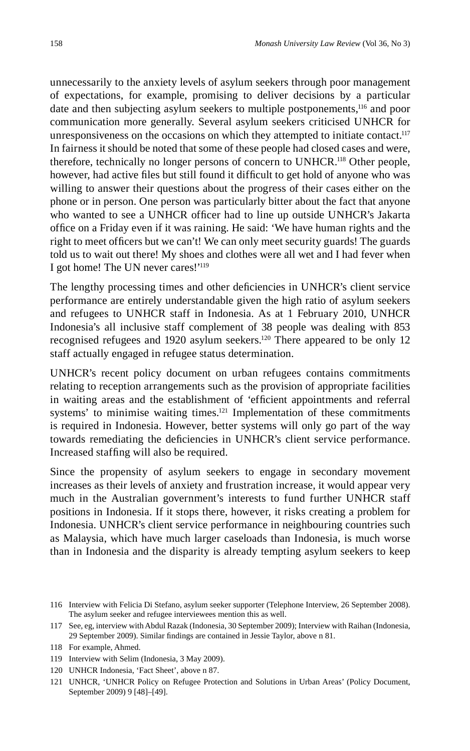unnecessarily to the anxiety levels of asylum seekers through poor management of expectations, for example, promising to deliver decisions by a particular date and then subjecting asylum seekers to multiple postponements,<sup>116</sup> and poor communication more generally. Several asylum seekers criticised UNHCR for unresponsiveness on the occasions on which they attempted to initiate contact.<sup>117</sup> In fairness it should be noted that some of these people had closed cases and were, therefore, technically no longer persons of concern to UNHCR.118 Other people, however, had active files but still found it difficult to get hold of anyone who was willing to answer their questions about the progress of their cases either on the phone or in person. One person was particularly bitter about the fact that anyone who wanted to see a UNHCR officer had to line up outside UNHCR's Jakarta office on a Friday even if it was raining. He said: 'We have human rights and the right to meet officers but we can't! We can only meet security guards! The guards told us to wait out there! My shoes and clothes were all wet and I had fever when I got home! The UN never cares!'119

The lengthy processing times and other deficiencies in UNHCR's client service performance are entirely understandable given the high ratio of asylum seekers and refugees to UNHCR staff in Indonesia. As at 1 February 2010, UNHCR Indonesia's all inclusive staff complement of 38 people was dealing with 853 recognised refugees and 1920 asylum seekers.<sup>120</sup> There appeared to be only 12 staff actually engaged in refugee status determination.

UNHCR's recent policy document on urban refugees contains commitments relating to reception arrangements such as the provision of appropriate facilities in waiting areas and the establishment of 'efficient appointments and referral systems' to minimise waiting times.<sup>121</sup> Implementation of these commitments is required in Indonesia. However, better systems will only go part of the way towards remediating the deficiencies in UNHCR's client service performance. Increased staffing will also be required.

Since the propensity of asylum seekers to engage in secondary movement increases as their levels of anxiety and frustration increase, it would appear very much in the Australian government's interests to fund further UNHCR staff positions in Indonesia. If it stops there, however, it risks creating a problem for Indonesia. UNHCR's client service performance in neighbouring countries such as Malaysia, which have much larger caseloads than Indonesia, is much worse than in Indonesia and the disparity is already tempting asylum seekers to keep

120 UNHCR Indonesia, 'Fact Sheet', above n 87.

<sup>116</sup> Interview with Felicia Di Stefano, asylum seeker supporter (Telephone Interview, 26 September 2008). The asylum seeker and refugee interviewees mention this as well.

<sup>117</sup> See, eg, interview with Abdul Razak (Indonesia, 30 September 2009); Interview with Raihan (Indonesia, 29 September 2009). Similar findings are contained in Jessie Taylor, above n 81.

<sup>118</sup> For example, Ahmed.

<sup>119</sup> Interview with Selim (Indonesia, 3 May 2009).

<sup>121</sup> UNHCR, 'UNHCR Policy on Refugee Protection and Solutions in Urban Areas' (Policy Document, September 2009) 9 [48]–[49].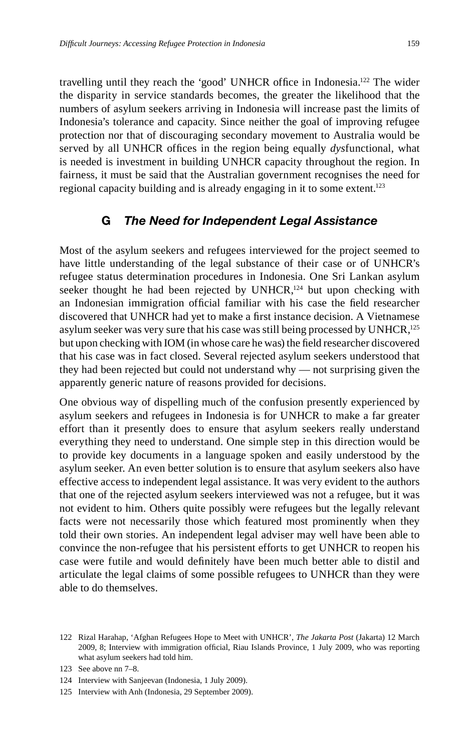travelling until they reach the 'good' UNHCR office in Indonesia.<sup>122</sup> The wider the disparity in service standards becomes, the greater the likelihood that the numbers of asylum seekers arriving in Indonesia will increase past the limits of Indonesia's tolerance and capacity. Since neither the goal of improving refugee protection nor that of discouraging secondary movement to Australia would be served by all UNHCR offices in the region being equally *dysfunctional*, what is needed is investment in building UNHCR capacity throughout the region. In fairness, it must be said that the Australian government recognises the need for regional capacity building and is already engaging in it to some extent.<sup>123</sup>

#### **G** *The Need for Independent Legal Assistance*

Most of the asylum seekers and refugees interviewed for the project seemed to have little understanding of the legal substance of their case or of UNHCR's refugee status determination procedures in Indonesia. One Sri Lankan asylum seeker thought he had been rejected by UNHCR, $124$  but upon checking with an Indonesian immigration official familiar with his case the field researcher discovered that UNHCR had yet to make a first instance decision. A Vietnamese asylum seeker was very sure that his case was still being processed by UNHCR, $^{125}$ but upon checking with IOM (in whose care he was) the field researcher discovered that his case was in fact closed. Several rejected asylum seekers understood that they had been rejected but could not understand why — not surprising given the apparently generic nature of reasons provided for decisions.

One obvious way of dispelling much of the confusion presently experienced by asylum seekers and refugees in Indonesia is for UNHCR to make a far greater effort than it presently does to ensure that asylum seekers really understand everything they need to understand. One simple step in this direction would be to provide key documents in a language spoken and easily understood by the asylum seeker. An even better solution is to ensure that asylum seekers also have effective access to independent legal assistance. It was very evident to the authors that one of the rejected asylum seekers interviewed was not a refugee, but it was not evident to him. Others quite possibly were refugees but the legally relevant facts were not necessarily those which featured most prominently when they told their own stories. An independent legal adviser may well have been able to convince the non-refugee that his persistent efforts to get UNHCR to reopen his case were futile and would definitely have been much better able to distil and articulate the legal claims of some possible refugees to UNHCR than they were able to do themselves.

<sup>122</sup> Rizal Harahap, 'Afghan Refugees Hope to Meet with UNHCR', *The Jakarta Post* (Jakarta) 12 March 2009, 8; Interview with immigration official, Riau Islands Province, 1 July 2009, who was reporting what asylum seekers had told him.

<sup>123</sup> See above nn 7–8.

<sup>124</sup> Interview with Sanjeevan (Indonesia, 1 July 2009).

<sup>125</sup> Interview with Anh (Indonesia, 29 September 2009).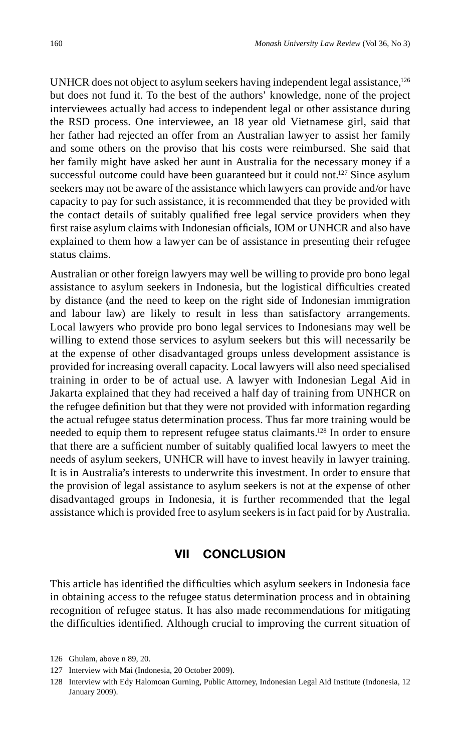UNHCR does not object to asylum seekers having independent legal assistance,<sup>126</sup> but does not fund it. To the best of the authors' knowledge, none of the project interviewees actually had access to independent legal or other assistance during the RSD process. One interviewee, an 18 year old Vietnamese girl, said that her father had rejected an offer from an Australian lawyer to assist her family and some others on the proviso that his costs were reimbursed. She said that her family might have asked her aunt in Australia for the necessary money if a successful outcome could have been guaranteed but it could not.<sup>127</sup> Since asylum seekers may not be aware of the assistance which lawyers can provide and/or have capacity to pay for such assistance, it is recommended that they be provided with the contact details of suitably qualified free legal service providers when they first raise asylum claims with Indonesian officials, IOM or UNHCR and also have explained to them how a lawyer can be of assistance in presenting their refugee status claims.

Australian or other foreign lawyers may well be willing to provide pro bono legal assistance to asylum seekers in Indonesia, but the logistical difficulties created by distance (and the need to keep on the right side of Indonesian immigration and labour law) are likely to result in less than satisfactory arrangements. Local lawyers who provide pro bono legal services to Indonesians may well be willing to extend those services to asylum seekers but this will necessarily be at the expense of other disadvantaged groups unless development assistance is provided for increasing overall capacity. Local lawyers will also need specialised training in order to be of actual use. A lawyer with Indonesian Legal Aid in Jakarta explained that they had received a half day of training from UNHCR on the refugee definition but that they were not provided with information regarding the actual refugee status determination process. Thus far more training would be needed to equip them to represent refugee status claimants.128 In order to ensure that there are a sufficient number of suitably qualified local lawyers to meet the needs of asylum seekers, UNHCR will have to invest heavily in lawyer training. It is in Australia's interests to underwrite this investment. In order to ensure that the provision of legal assistance to asylum seekers is not at the expense of other disadvantaged groups in Indonesia, it is further recommended that the legal assistance which is provided free to asylum seekers is in fact paid for by Australia.

#### **VII CONCLUSION**

This article has identified the difficulties which asylum seekers in Indonesia face in obtaining access to the refugee status determination process and in obtaining recognition of refugee status. It has also made recommendations for mitigating the difficulties identified. Although crucial to improving the current situation of

<sup>126</sup> Ghulam, above n 89, 20.

<sup>127</sup> Interview with Mai (Indonesia, 20 October 2009).

<sup>128</sup> Interview with Edy Halomoan Gurning, Public Attorney, Indonesian Legal Aid Institute (Indonesia, 12 January 2009).